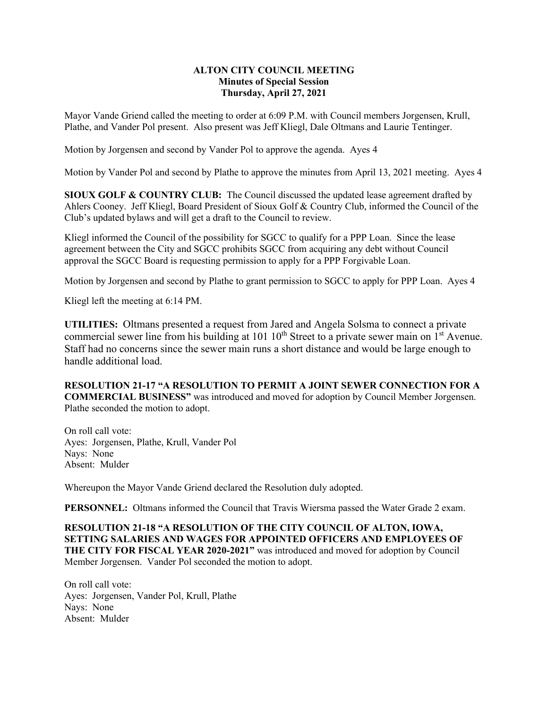## **ALTON CITY COUNCIL MEETING Minutes of Special Session Thursday, April 27, 2021**

Mayor Vande Griend called the meeting to order at 6:09 P.M. with Council members Jorgensen, Krull, Plathe, and Vander Pol present. Also present was Jeff Kliegl, Dale Oltmans and Laurie Tentinger.

Motion by Jorgensen and second by Vander Pol to approve the agenda. Ayes 4

Motion by Vander Pol and second by Plathe to approve the minutes from April 13, 2021 meeting. Ayes 4

**SIOUX GOLF & COUNTRY CLUB:** The Council discussed the updated lease agreement drafted by Ahlers Cooney. Jeff Kliegl, Board President of Sioux Golf & Country Club, informed the Council of the Club's updated bylaws and will get a draft to the Council to review.

Kliegl informed the Council of the possibility for SGCC to qualify for a PPP Loan. Since the lease agreement between the City and SGCC prohibits SGCC from acquiring any debt without Council approval the SGCC Board is requesting permission to apply for a PPP Forgivable Loan.

Motion by Jorgensen and second by Plathe to grant permission to SGCC to apply for PPP Loan. Ayes 4

Kliegl left the meeting at 6:14 PM.

**UTILITIES:** Oltmans presented a request from Jared and Angela Solsma to connect a private commercial sewer line from his building at 101 10<sup>th</sup> Street to a private sewer main on 1<sup>st</sup> Avenue. Staff had no concerns since the sewer main runs a short distance and would be large enough to handle additional load.

**RESOLUTION 21-17 "A RESOLUTION TO PERMIT A JOINT SEWER CONNECTION FOR A COMMERCIAL BUSINESS"** was introduced and moved for adoption by Council Member Jorgensen. Plathe seconded the motion to adopt.

On roll call vote: Ayes: Jorgensen, Plathe, Krull, Vander Pol Nays: None Absent: Mulder

Whereupon the Mayor Vande Griend declared the Resolution duly adopted.

**PERSONNEL:** Oltmans informed the Council that Travis Wiersma passed the Water Grade 2 exam.

**RESOLUTION 21-18 "A RESOLUTION OF THE CITY COUNCIL OF ALTON, IOWA, SETTING SALARIES AND WAGES FOR APPOINTED OFFICERS AND EMPLOYEES OF THE CITY FOR FISCAL YEAR 2020-2021"** was introduced and moved for adoption by Council Member Jorgensen. Vander Pol seconded the motion to adopt.

On roll call vote: Ayes: Jorgensen, Vander Pol, Krull, Plathe Nays: None Absent: Mulder